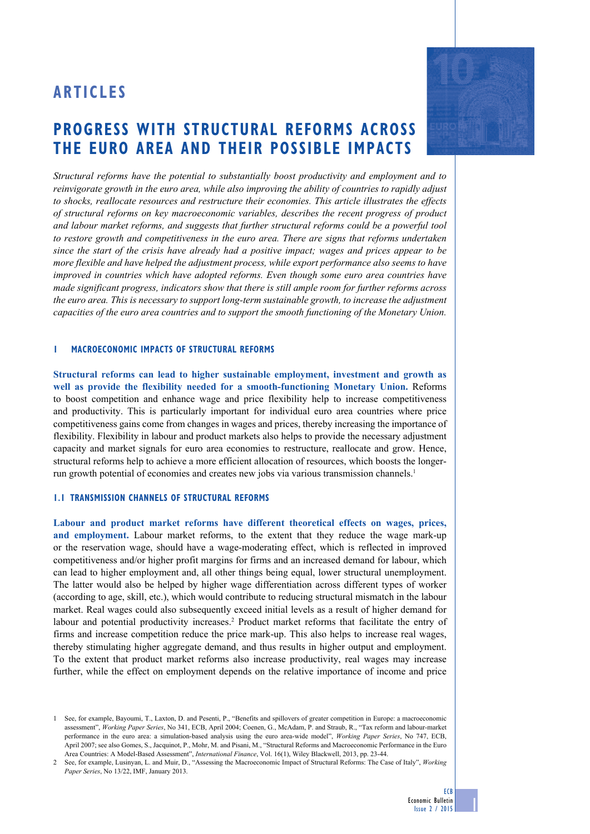# **ARticles**

# **progress with structural reforms across the euro area and their possible impacts**

*Structural reforms have the potential to substantially boost productivity and employment and to reinvigorate growth in the euro area, while also improving the ability of countries to rapidly adjust to shocks, reallocate resources and restructure their economies. This article illustrates the effects of structural reforms on key macroeconomic variables, describes the recent progress of product and labour market reforms, and suggests that further structural reforms could be a powerful tool to restore growth and competitiveness in the euro area. There are signs that reforms undertaken since the start of the crisis have already had a positive impact; wages and prices appear to be more flexible and have helped the adjustment process, while export performance also seems to have improved in countries which have adopted reforms. Even though some euro area countries have made significant progress, indicators show that there is still ample room for further reforms across the euro area. This is necessary to support long-term sustainable growth, to increase the adjustment capacities of the euro area countries and to support the smooth functioning of the Monetary Union.* 

## **1 macroeconomic impacts of structural reforms**

**Structural reforms can lead to higher sustainable employment, investment and growth as well as provide the flexibility needed for a smooth-functioning Monetary Union.** Reforms to boost competition and enhance wage and price flexibility help to increase competitiveness and productivity. This is particularly important for individual euro area countries where price competitiveness gains come from changes in wages and prices, thereby increasing the importance of flexibility. Flexibility in labour and product markets also helps to provide the necessary adjustment capacity and market signals for euro area economies to restructure, reallocate and grow. Hence, structural reforms help to achieve a more efficient allocation of resources, which boosts the longerrun growth potential of economies and creates new jobs via various transmission channels.1

# **1.1 tranSmission CHANNELS OF structural reforms**

**Labour and product market reforms have different theoretical effects on wages, prices, and employment.** Labour market reforms, to the extent that they reduce the wage mark-up or the reservation wage, should have a wage-moderating effect, which is reflected in improved competitiveness and/or higher profit margins for firms and an increased demand for labour, which can lead to higher employment and, all other things being equal, lower structural unemployment. The latter would also be helped by higher wage differentiation across different types of worker (according to age, skill, etc.), which would contribute to reducing structural mismatch in the labour market. Real wages could also subsequently exceed initial levels as a result of higher demand for labour and potential productivity increases.<sup>2</sup> Product market reforms that facilitate the entry of firms and increase competition reduce the price mark-up. This also helps to increase real wages, thereby stimulating higher aggregate demand, and thus results in higher output and employment. To the extent that product market reforms also increase productivity, real wages may increase further, while the effect on employment depends on the relative importance of income and price



ECB

<sup>1</sup> See, for example, Bayoumi, T., Laxton, D. and Pesenti, P., "Benefits and spillovers of greater competition in Europe: a macroeconomic assessment", *Working Paper Series*, No 341, ECB, April 2004; Coenen, G., McAdam, P. and Straub, R., "Tax reform and labour-market performance in the euro area: a simulation-based analysis using the euro area-wide model", *Working Paper Series*, No 747, ECB, April 2007; see also Gomes, S., Jacquinot, P., Mohr, M. and Pisani, M., "Structural Reforms and Macroeconomic Performance in the Euro Area Countries: A Model-Based Assessment", *International Finance*, Vol. 16(1), Wiley Blackwell, 2013, pp. 23-44.

<sup>2</sup> See, for example, Lusinyan, L. and Muir, D., "Assessing the Macroeconomic Impact of Structural Reforms: The Case of Italy", *Working Paper Series*, No 13/22, IMF, January 2013.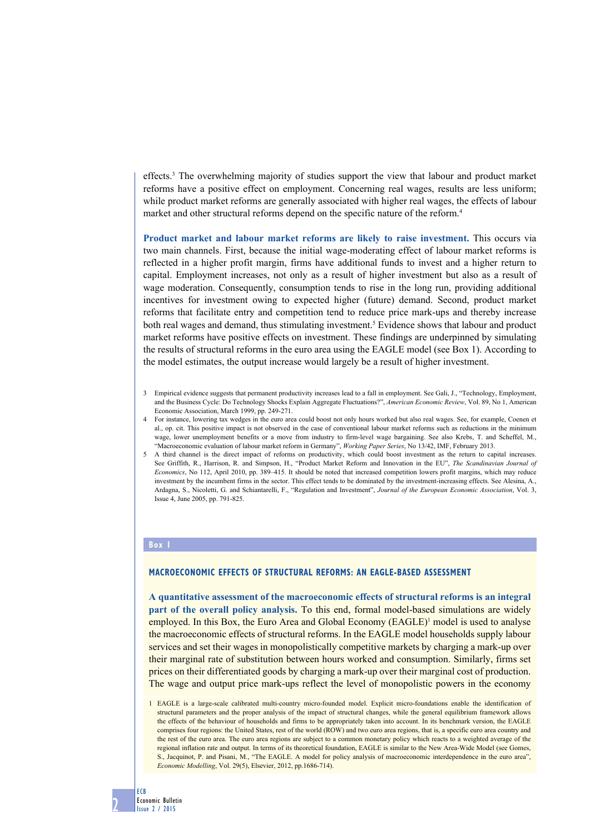effects.3 The overwhelming majority of studies support the view that labour and product market reforms have a positive effect on employment. Concerning real wages, results are less uniform; while product market reforms are generally associated with higher real wages, the effects of labour market and other structural reforms depend on the specific nature of the reform.4

**Product market and labour market reforms are likely to raise investment.** This occurs via two main channels. First, because the initial wage-moderating effect of labour market reforms is reflected in a higher profit margin, firms have additional funds to invest and a higher return to capital. Employment increases, not only as a result of higher investment but also as a result of wage moderation. Consequently, consumption tends to rise in the long run, providing additional incentives for investment owing to expected higher (future) demand. Second, product market reforms that facilitate entry and competition tend to reduce price mark-ups and thereby increase both real wages and demand, thus stimulating investment.<sup>5</sup> Evidence shows that labour and product market reforms have positive effects on investment. These findings are underpinned by simulating the results of structural reforms in the euro area using the EAGLE model (see Box 1). According to the model estimates, the output increase would largely be a result of higher investment.

- 3 Empirical evidence suggests that permanent productivity increases lead to a fall in employment. See Gali, J., "Technology, Employment, and the Business Cycle: Do Technology Shocks Explain Aggregate Fluctuations?", *American Economic Review*, Vol. 89, No 1, American Economic Association, March 1999, pp. 249-271.
- 4 For instance, lowering tax wedges in the euro area could boost not only hours worked but also real wages. See, for example, Coenen et al., op. cit. This positive impact is not observed in the case of conventional labour market reforms such as reductions in the minimum wage, lower unemployment benefits or a move from industry to firm-level wage bargaining. See also Krebs, T. and Scheffel, M., "Macroeconomic evaluation of labour market reform in Germany", *Working Paper Series*, No 13/42, IMF, February 2013.
- 5 A third channel is the direct impact of reforms on productivity, which could boost investment as the return to capital increases. See Griffith, R., Harrison, R. and Simpson, H., "Product Market Reform and Innovation in the EU", *The Scandinavian Journal of Economics*, No 112, April 2010, pp. 389–415. It should be noted that increased competition lowers profit margins, which may reduce investment by the incumbent firms in the sector. This effect tends to be dominated by the investment-increasing effects. See Alesina, A., Ardagna, S., Nicoletti, G. and Schiantarelli, F., "Regulation and Investment", *Journal of the European Economic Association*, Vol. 3, Issue 4, June 2005, pp. 791-825.

## **Box 1**

#### **Macroeconomic effects of structural reforms: an EAGLE-based assessment**

**A quantitative assessment of the macroeconomic effects of structural reforms is an integral part of the overall policy analysis.** To this end, formal model-based simulations are widely employed. In this Box, the Euro Area and Global Economy (EAGLE)<sup>1</sup> model is used to analyse the macroeconomic effects of structural reforms. In the EAGLE model households supply labour services and set their wages in monopolistically competitive markets by charging a mark-up over their marginal rate of substitution between hours worked and consumption. Similarly, firms set prices on their differentiated goods by charging a mark-up over their marginal cost of production. The wage and output price mark-ups reflect the level of monopolistic powers in the economy

1 EAGLE is a large-scale calibrated multi-country micro-founded model. Explicit micro-foundations enable the identification of structural parameters and the proper analysis of the impact of structural changes, while the general equilibrium framework allows the effects of the behaviour of households and firms to be appropriately taken into account. In its benchmark version, the EAGLE comprises four regions: the United States, rest of the world (ROW) and two euro area regions, that is, a specific euro area country and the rest of the euro area. The euro area regions are subject to a common monetary policy which reacts to a weighted average of the regional inflation rate and output. In terms of its theoretical foundation, EAGLE is similar to the New Area-Wide Model (see Gomes, S., Jacquinot, P. and Pisani, M., "The EAGLE. A model for policy analysis of macroeconomic interdependence in the euro area", *Economic Modelling*, Vol. 29(5), Elsevier, 2012, pp.1686-714).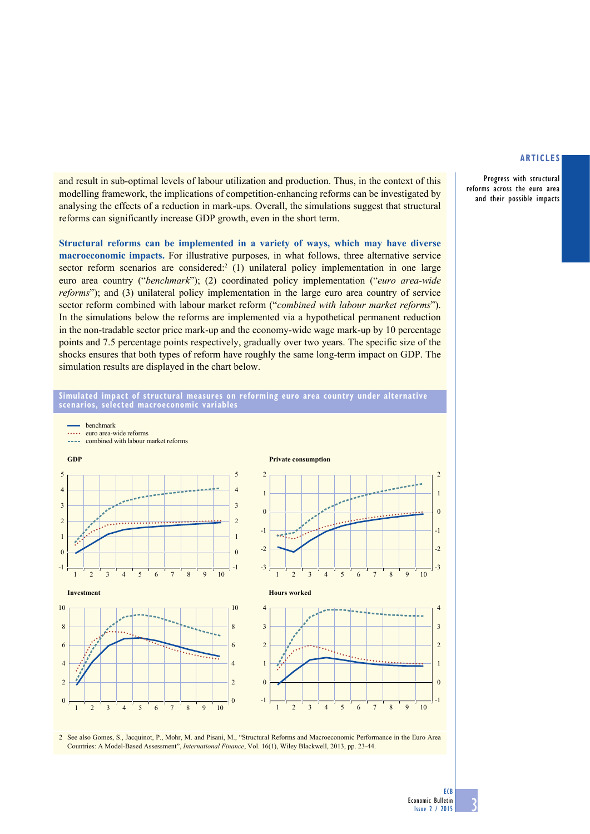Progress with structural reforms across the euro area and their possible impacts

and result in sub-optimal levels of labour utilization and production. Thus, in the context of this modelling framework, the implications of competition-enhancing reforms can be investigated by analysing the effects of a reduction in mark-ups. Overall, the simulations suggest that structural reforms can significantly increase GDP growth, even in the short term.

**Structural reforms can be implemented in a variety of ways, which may have diverse macroeconomic impacts.** For illustrative purposes, in what follows, three alternative service sector reform scenarios are considered: $2(1)$  unilateral policy implementation in one large euro area country ("*benchmark*"); (2) coordinated policy implementation ("*euro area-wide reforms*"); and (3) unilateral policy implementation in the large euro area country of service sector reform combined with labour market reform ("*combined with labour market reforms*"). In the simulations below the reforms are implemented via a hypothetical permanent reduction in the non-tradable sector price mark-up and the economy-wide wage mark-up by 10 percentage points and 7.5 percentage points respectively, gradually over two years. The specific size of the shocks ensures that both types of reform have roughly the same long-term impact on GDP. The simulation results are displayed in the chart below.

**simulated impact of structural measures on reforming euro area country under alternative** 



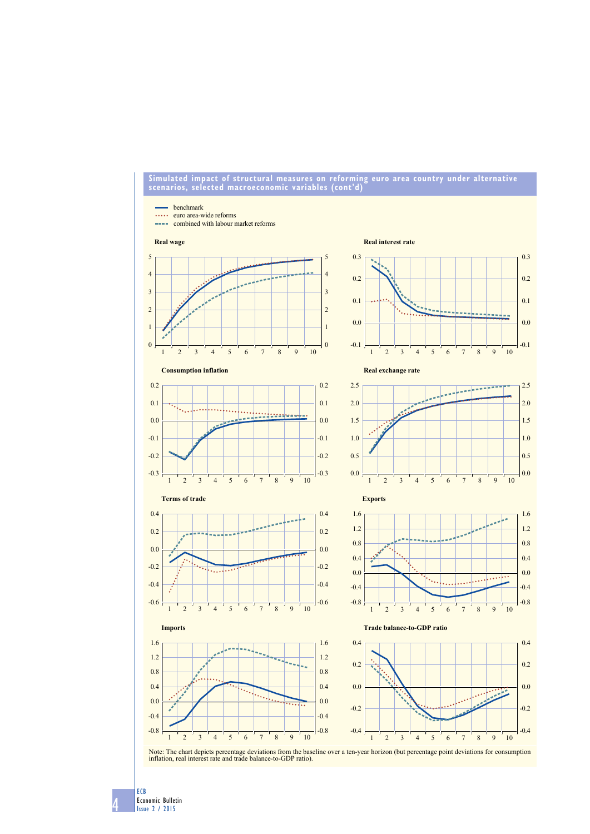#### **simulated impact of structural measures on reforming euro area country under alternative scenarios, selected macroeconomic variables (cont'd)**



Note: The chart depicts percentage deviations from the baseline over a ten-year horizon (but percentage point deviations for consumption inflation, real interest rate and trade balance-to-GDP ratio).

Economic Bulletin Issue 2 / 2015

ECB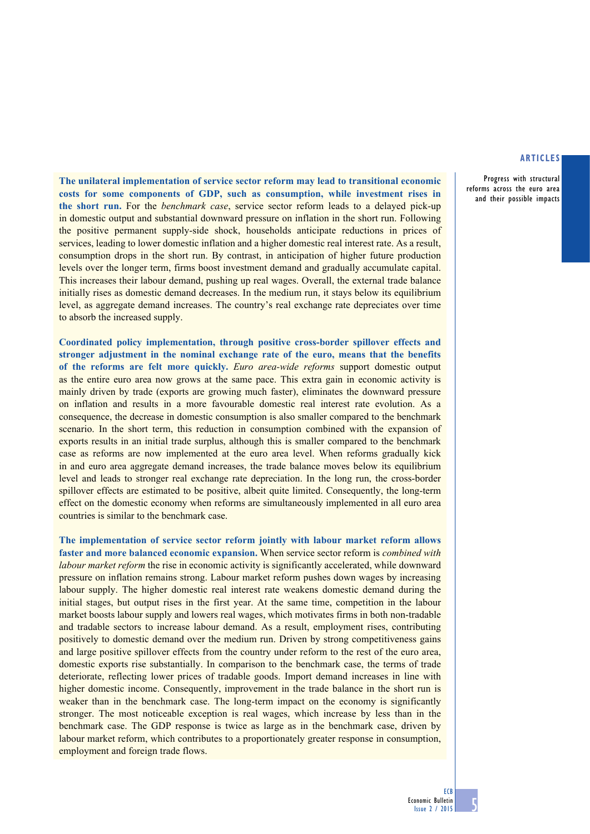Progress with structural reforms across the euro area and their possible impacts

**The unilateral implementation of service sector reform may lead to transitional economic costs for some components of GDP, such as consumption, while investment rises in the short run.** For the *benchmark case*, service sector reform leads to a delayed pick-up in domestic output and substantial downward pressure on inflation in the short run. Following the positive permanent supply-side shock, households anticipate reductions in prices of services, leading to lower domestic inflation and a higher domestic real interest rate. As a result, consumption drops in the short run. By contrast, in anticipation of higher future production levels over the longer term, firms boost investment demand and gradually accumulate capital. This increases their labour demand, pushing up real wages. Overall, the external trade balance initially rises as domestic demand decreases. In the medium run, it stays below its equilibrium level, as aggregate demand increases. The country's real exchange rate depreciates over time to absorb the increased supply.

**Coordinated policy implementation, through positive cross-border spillover effects and stronger adjustment in the nominal exchange rate of the euro, means that the benefits of the reforms are felt more quickly.** *Euro area-wide reforms* support domestic output as the entire euro area now grows at the same pace. This extra gain in economic activity is mainly driven by trade (exports are growing much faster), eliminates the downward pressure on inflation and results in a more favourable domestic real interest rate evolution. As a consequence, the decrease in domestic consumption is also smaller compared to the benchmark scenario. In the short term, this reduction in consumption combined with the expansion of exports results in an initial trade surplus, although this is smaller compared to the benchmark case as reforms are now implemented at the euro area level. When reforms gradually kick in and euro area aggregate demand increases, the trade balance moves below its equilibrium level and leads to stronger real exchange rate depreciation. In the long run, the cross-border spillover effects are estimated to be positive, albeit quite limited. Consequently, the long-term effect on the domestic economy when reforms are simultaneously implemented in all euro area countries is similar to the benchmark case.

**The implementation of service sector reform jointly with labour market reform allows faster and more balanced economic expansion.** When service sector reform is *combined with labour market reform* the rise in economic activity is significantly accelerated, while downward pressure on inflation remains strong. Labour market reform pushes down wages by increasing labour supply. The higher domestic real interest rate weakens domestic demand during the initial stages, but output rises in the first year. At the same time, competition in the labour market boosts labour supply and lowers real wages, which motivates firms in both non-tradable and tradable sectors to increase labour demand. As a result, employment rises, contributing positively to domestic demand over the medium run. Driven by strong competitiveness gains and large positive spillover effects from the country under reform to the rest of the euro area, domestic exports rise substantially. In comparison to the benchmark case, the terms of trade deteriorate, reflecting lower prices of tradable goods. Import demand increases in line with higher domestic income. Consequently, improvement in the trade balance in the short run is weaker than in the benchmark case. The long-term impact on the economy is significantly stronger. The most noticeable exception is real wages, which increase by less than in the benchmark case. The GDP response is twice as large as in the benchmark case, driven by labour market reform, which contributes to a proportionately greater response in consumption, employment and foreign trade flows.

**ECB**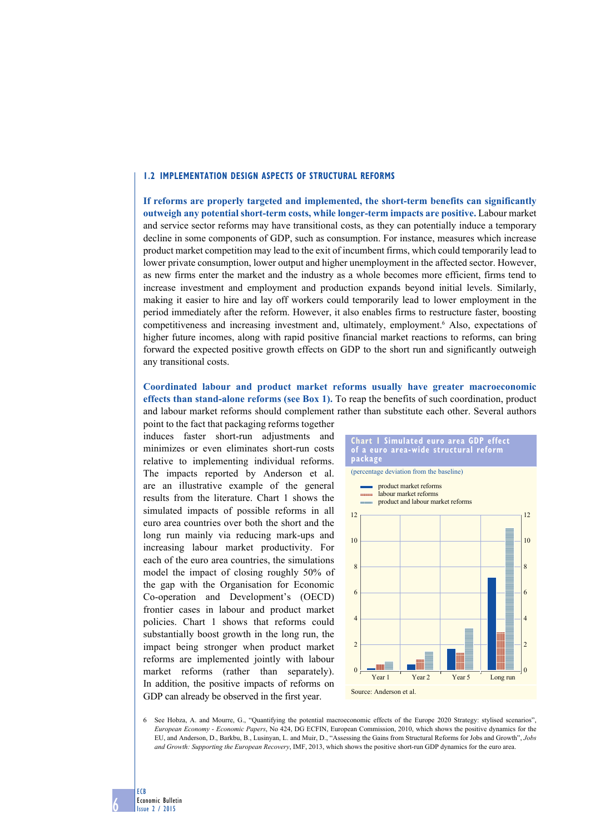#### **1.2 Implementation design aspects of structural reforms**

**If reforms are properly targeted and implemented, the short-term benefits can significantly outweigh any potential short-term costs, while longer-term impacts are positive.** Labour market and service sector reforms may have transitional costs, as they can potentially induce a temporary decline in some components of GDP, such as consumption. For instance, measures which increase product market competition may lead to the exit of incumbent firms, which could temporarily lead to lower private consumption, lower output and higher unemployment in the affected sector. However, as new firms enter the market and the industry as a whole becomes more efficient, firms tend to increase investment and employment and production expands beyond initial levels. Similarly, making it easier to hire and lay off workers could temporarily lead to lower employment in the period immediately after the reform. However, it also enables firms to restructure faster, boosting competitiveness and increasing investment and, ultimately, employment.<sup>6</sup> Also, expectations of higher future incomes, along with rapid positive financial market reactions to reforms, can bring forward the expected positive growth effects on GDP to the short run and significantly outweigh any transitional costs.

**Coordinated labour and product market reforms usually have greater macroeconomic effects than stand-alone reforms (see Box 1).** To reap the benefits of such coordination, product and labour market reforms should complement rather than substitute each other. Several authors

point to the fact that packaging reforms together induces faster short-run adjustments and minimizes or even eliminates short-run costs relative to implementing individual reforms. The impacts reported by Anderson et al. are an illustrative example of the general results from the literature. Chart 1 shows the simulated impacts of possible reforms in all euro area countries over both the short and the long run mainly via reducing mark-ups and increasing labour market productivity. For each of the euro area countries, the simulations model the impact of closing roughly 50% of the gap with the Organisation for Economic Co-operation and Development's (OECD) frontier cases in labour and product market policies. Chart 1 shows that reforms could substantially boost growth in the long run, the impact being stronger when product market reforms are implemented jointly with labour market reforms (rather than separately). In addition, the positive impacts of reforms on GDP can already be observed in the first year.

6

ECB

Economic Bulletin Issue 2 / 2015



6 See Hobza, A. and Mourre, G., "Quantifying the potential macroeconomic effects of the Europe 2020 Strategy: stylised scenarios", *European Economy* - *Economic Papers*, No 424, DG ECFIN, European Commission, 2010, which shows the positive dynamics for the EU, and Anderson, D., Barkbu, B., Lusinyan, L. and Muir, D., "Assessing the Gains from Structural Reforms for Jobs and Growth", *Jobs and Growth: Supporting the European Recovery*, IMF, 2013, which shows the positive short-run GDP dynamics for the euro area.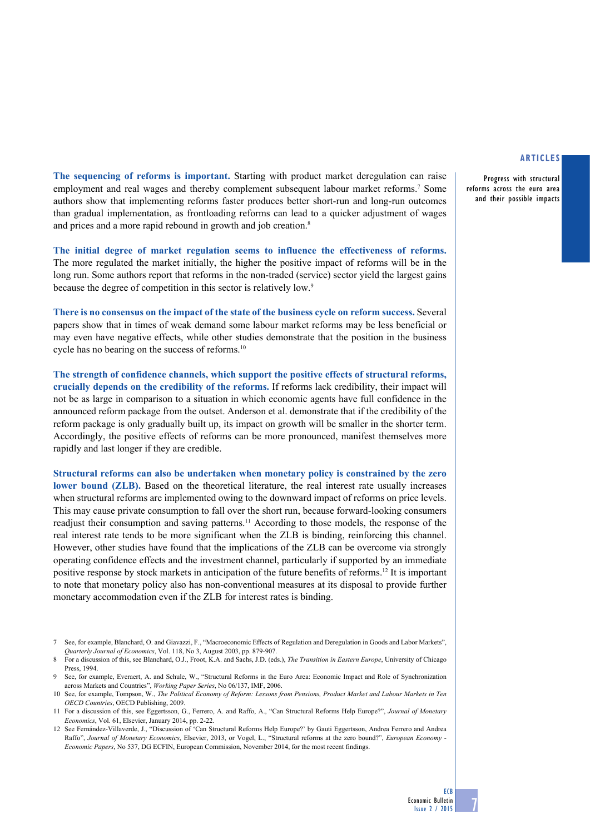Progress with structural reforms across the euro area and their possible impacts

**The sequencing of reforms is important.** Starting with product market deregulation can raise employment and real wages and thereby complement subsequent labour market reforms.<sup>7</sup> Some authors show that implementing reforms faster produces better short-run and long-run outcomes than gradual implementation, as frontloading reforms can lead to a quicker adjustment of wages and prices and a more rapid rebound in growth and job creation.<sup>8</sup>

**The initial degree of market regulation seems to influence the effectiveness of reforms.** The more regulated the market initially, the higher the positive impact of reforms will be in the long run. Some authors report that reforms in the non-traded (service) sector yield the largest gains because the degree of competition in this sector is relatively low.9

**There is no consensus on the impact of the state of the business cycle on reform success.** Several papers show that in times of weak demand some labour market reforms may be less beneficial or may even have negative effects, while other studies demonstrate that the position in the business cycle has no bearing on the success of reforms.<sup>10</sup>

**The strength of confidence channels, which support the positive effects of structural reforms, crucially depends on the credibility of the reforms.** If reforms lack credibility, their impact will not be as large in comparison to a situation in which economic agents have full confidence in the announced reform package from the outset. Anderson et al. demonstrate that if the credibility of the reform package is only gradually built up, its impact on growth will be smaller in the shorter term. Accordingly, the positive effects of reforms can be more pronounced, manifest themselves more rapidly and last longer if they are credible.

**Structural reforms can also be undertaken when monetary policy is constrained by the zero lower bound (ZLB).** Based on the theoretical literature, the real interest rate usually increases when structural reforms are implemented owing to the downward impact of reforms on price levels. This may cause private consumption to fall over the short run, because forward-looking consumers readjust their consumption and saving patterns.11 According to those models, the response of the real interest rate tends to be more significant when the ZLB is binding, reinforcing this channel. However, other studies have found that the implications of the ZLB can be overcome via strongly operating confidence effects and the investment channel, particularly if supported by an immediate positive response by stock markets in anticipation of the future benefits of reforms.12 It is important to note that monetary policy also has non-conventional measures at its disposal to provide further monetary accommodation even if the ZLB for interest rates is binding.

<sup>7</sup> See, for example, Blanchard, O. and Giavazzi, F., "Macroeconomic Effects of Regulation and Deregulation in Goods and Labor Markets", *Quarterly Journal of Economics*, Vol. 118, No 3, August 2003, pp. 879-907.

<sup>8</sup> For a discussion of this, see Blanchard, O.J., Froot, K.A. and Sachs, J.D. (eds.), *The Transition in Eastern Europe*, University of Chicago Press, 1994.

<sup>9</sup> See, for example, Everaert, A. and Schule, W., "Structural Reforms in the Euro Area: Economic Impact and Role of Synchronization across Markets and Countries", *Working Paper Series*, No 06/137, IMF, 2006.

<sup>10</sup> See, for example, Tompson, W., *The Political Economy of Reform: Lessons from Pensions, Product Market and Labour Markets in Ten OECD Countries*, OECD Publishing, 2009.

<sup>11</sup> For a discussion of this, see Eggertsson, G., Ferrero, A. and Raffo, A., "Can Structural Reforms Help Europe?", *Journal of Monetary Economics*, Vol. 61, Elsevier, January 2014, pp. 2-22.

<sup>12</sup> See Fernández-Villaverde, J., "Discussion of 'Can Structural Reforms Help Europe?' by Gauti Eggertsson, Andrea Ferrero and Andrea Raffo", *Journal of Monetary Economics*, Elsevier, 2013, or Vogel, L., "Structural reforms at the zero bound?", *European Economy - Economic Papers*, No 537, DG ECFIN, European Commission, November 2014, for the most recent findings.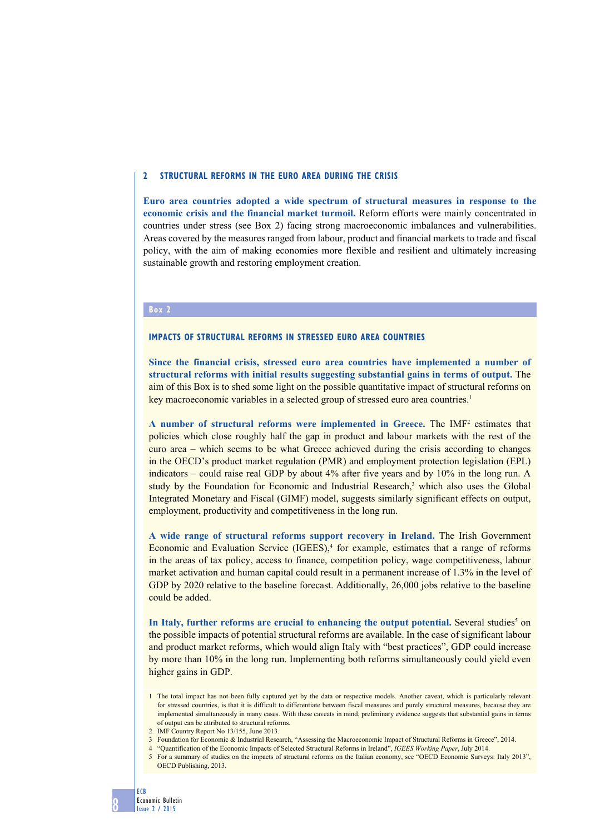#### **2 STructural reforms in the euro area during the crisis**

**Euro area countries adopted a wide spectrum of structural measures in response to the economic crisis and the financial market turmoil.** Reform efforts were mainly concentrated in countries under stress (see Box 2) facing strong macroeconomic imbalances and vulnerabilities. Areas covered by the measures ranged from labour, product and financial markets to trade and fiscal policy, with the aim of making economies more flexible and resilient and ultimately increasing sustainable growth and restoring employment creation.

#### **Box 2**

# **Impacts of structural reforms in stressed euro area countries**

**Since the financial crisis, stressed euro area countries have implemented a number of structural reforms with initial results suggesting substantial gains in terms of output.** The aim of this Box is to shed some light on the possible quantitative impact of structural reforms on key macroeconomic variables in a selected group of stressed euro area countries.<sup>1</sup>

**A number of structural reforms were implemented in Greece.** The IMF2 estimates that policies which close roughly half the gap in product and labour markets with the rest of the euro area – which seems to be what Greece achieved during the crisis according to changes in the OECD's product market regulation (PMR) and employment protection legislation (EPL) indicators – could raise real GDP by about 4% after five years and by 10% in the long run. A study by the Foundation for Economic and Industrial Research, $<sup>3</sup>$  which also uses the Global</sup> Integrated Monetary and Fiscal (GIMF) model, suggests similarly significant effects on output, employment, productivity and competitiveness in the long run.

**A wide range of structural reforms support recovery in Ireland.** The Irish Government Economic and Evaluation Service (IGEES),<sup>4</sup> for example, estimates that a range of reforms in the areas of tax policy, access to finance, competition policy, wage competitiveness, labour market activation and human capital could result in a permanent increase of 1.3% in the level of GDP by 2020 relative to the baseline forecast. Additionally, 26,000 jobs relative to the baseline could be added.

In Italy, further reforms are crucial to enhancing the output potential. Several studies<sup>5</sup> on the possible impacts of potential structural reforms are available. In the case of significant labour and product market reforms, which would align Italy with "best practices", GDP could increase by more than 10% in the long run. Implementing both reforms simultaneously could yield even higher gains in GDP.

- 3 Foundation for Economic & Industrial Research, "Assessing the Macroeconomic Impact of Structural Reforms in Greece", 2014.
- 4 "Quantification of the Economic Impacts of Selected Structural Reforms in Ireland", *IGEES Working Paper*, July 2014.
- 5 For a summary of studies on the impacts of structural reforms on the Italian economy, see "OECD Economic Surveys: Italy 2013", OECD Publishing, 2013.

<sup>1</sup> The total impact has not been fully captured yet by the data or respective models. Another caveat, which is particularly relevant for stressed countries, is that it is difficult to differentiate between fiscal measures and purely structural measures, because they are implemented simultaneously in many cases. With these caveats in mind, preliminary evidence suggests that substantial gains in terms of output can be attributed to structural reforms.

<sup>2</sup> IMF Country Report No 13/155, June 2013.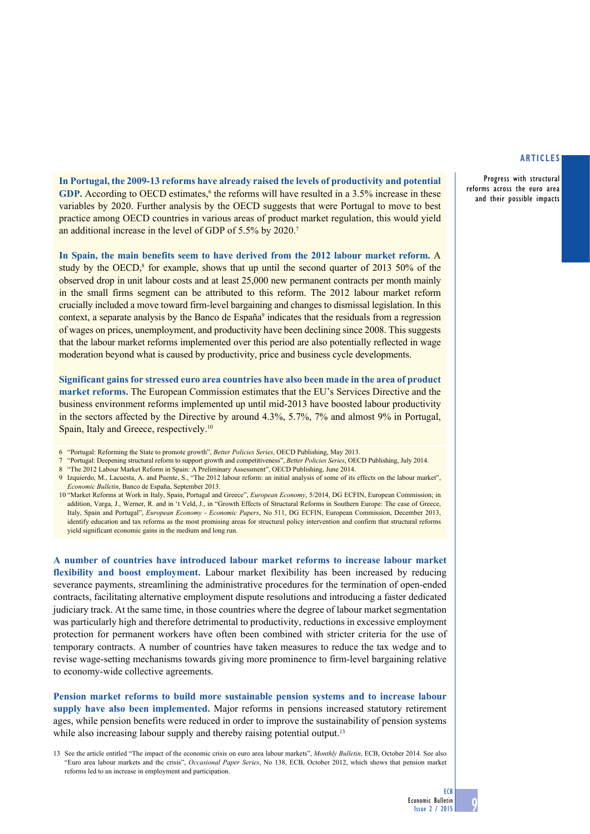**In Portugal, the 2009-13 reforms have already raised the levels of productivity and potential**  GDP. According to OECD estimates,<sup>6</sup> the reforms will have resulted in a 3.5% increase in these variables by 2020. Further analysis by the OECD suggests that were Portugal to move to best practice among OECD countries in various areas of product market regulation, this would yield an additional increase in the level of GDP of 5.5% by 2020.7

In Spain, the main benefits seem to have derived from the 2012 labour market reform. A study by the OECD, ${}^{8}$  for example, shows that up until the second quarter of 2013 50% of the observed drop in unit labour costs and at least 25,000 new permanent contracts per month mainly in the small firms segment can be attributed to this reform. The 2012 labour market reform crucially included a move toward firm-level bargaining and changes to dismissal legislation. In this context, a separate analysis by the Banco de España<sup>9</sup> indicates that the residuals from a regression of wages on prices, unemployment, and productivity have been declining since 2008. This suggests that the labour market reforms implemented over this period are also potentially reflected in wage moderation beyond what is caused by productivity, price and business cycle developments.

**Significant gains for stressed euro area countries have also been made in the area of product market reforms.** The European Commission estimates that the EU's Services Directive and the business environment reforms implemented up until mid-2013 have boosted labour productivity in the sectors affected by the Directive by around 4.3%, 5.7%, 7% and almost 9% in Portugal, Spain, Italy and Greece, respectively.<sup>10</sup>

- 6 "Portugal: Reforming the State to promote growth", *Better Policies Series*, OECD Publishing, May 2013.
- 7 "Portugal: Deepening structural reform to support growth and competitiveness", *Better Policies Series*, OECD Publishing, July 2014.
- 8 "The 2012 Labour Market Reform in Spain: A Preliminary Assessment", OECD Publishing, June 2014.
- 9 Izquierdo, M., Lacuesta, A. and Puente, S., "The 2012 labour reform: an initial analysis of some of its effects on the labour market", *Economic Bulletin*, Banco de España, September 2013.

10 "Market Reforms at Work in Italy, Spain, Portugal and Greece", *European Economy*, 5/2014, DG ECFIN, European Commission; in addition, Varga, J., Werner, R. and in 't Veld, J., in "Growth Effects of Structural Reforms in Southern Europe: The case of Greece, Italy, Spain and Portugal", *European Economy* - *Economic Papers*, No 511, DG ECFIN, European Commission, December 2013, identify education and tax reforms as the most promising areas for structural policy intervention and confirm that structural reforms yield significant economic gains in the medium and long run.

**A number of countries have introduced labour market reforms to increase labour market flexibility and boost employment.** Labour market flexibility has been increased by reducing severance payments, streamlining the administrative procedures for the termination of open-ended contracts, facilitating alternative employment dispute resolutions and introducing a faster dedicated judiciary track. At the same time, in those countries where the degree of labour market segmentation was particularly high and therefore detrimental to productivity, reductions in excessive employment protection for permanent workers have often been combined with stricter criteria for the use of temporary contracts. A number of countries have taken measures to reduce the tax wedge and to revise wage-setting mechanisms towards giving more prominence to firm-level bargaining relative to economy-wide collective agreements.

**Pension market reforms to build more sustainable pension systems and to increase labour supply have also been implemented.** Major reforms in pensions increased statutory retirement ages, while pension benefits were reduced in order to improve the sustainability of pension systems while also increasing labour supply and thereby raising potential output.<sup>13</sup>

Progress with structural reforms across the euro area and their possible impacts

ECB

<sup>13</sup> See the article entitled "The impact of the economic crisis on euro area labour markets", *Monthly Bulletin*, ECB, October 2014. See also "Euro area labour markets and the crisis", *Occasional Paper Series*, No 138, ECB, October 2012, which shows that pension market reforms led to an increase in employment and participation.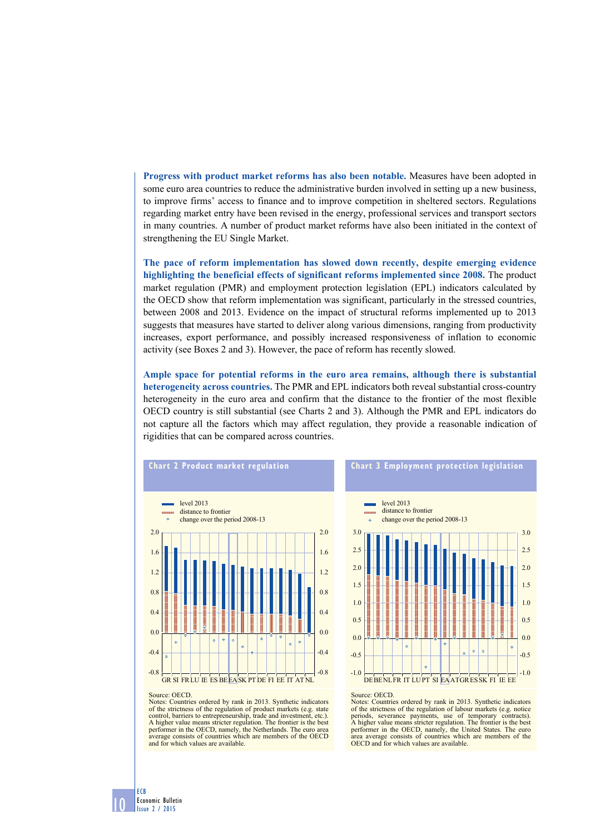**Progress with product market reforms has also been notable.** Measures have been adopted in some euro area countries to reduce the administrative burden involved in setting up a new business, to improve firms' access to finance and to improve competition in sheltered sectors. Regulations regarding market entry have been revised in the energy, professional services and transport sectors in many countries. A number of product market reforms have also been initiated in the context of strengthening the EU Single Market.

**The pace of reform implementation has slowed down recently, despite emerging evidence highlighting the beneficial effects of significant reforms implemented since 2008.** The product market regulation (PMR) and employment protection legislation (EPL) indicators calculated by the OECD show that reform implementation was significant, particularly in the stressed countries, between 2008 and 2013. Evidence on the impact of structural reforms implemented up to 2013 suggests that measures have started to deliver along various dimensions, ranging from productivity increases, export performance, and possibly increased responsiveness of inflation to economic activity (see Boxes 2 and 3). However, the pace of reform has recently slowed.

**Ample space for potential reforms in the euro area remains, although there is substantial heterogeneity across countries.** The PMR and EPL indicators both reveal substantial cross-country heterogeneity in the euro area and confirm that the distance to the frontier of the most flexible OECD country is still substantial (see Charts 2 and 3). Although the PMR and EPL indicators do not capture all the factors which may affect regulation, they provide a reasonable indication of rigidities that can be compared across countries.





Notes: Countries ordered by rank in 2013. Synthetic indicators of the strictness of the regulation of product markets (e.g. state control, barriers to entrepreneurship, trade and investment, etc.). A higher value means stricter regulation. The frontier is the best performer in the OECD, namely, the Netherlands. The euro area average consists of countries which are members of the OECD and for which values are available.

Notes: Countries ordered by rank in 2013. Synthetic indicators of the strictness of the regulation of labour markets (e.g. notice periods, severance payments, use of temporary contracts). A higher value means stricter regulation. The frontier is the best performer in the OECD, namely, the United States. The euro area average consists of countries which are members of the OECD and for which values are available.

10 ECB Economic Bulletin Issue 2 / 2015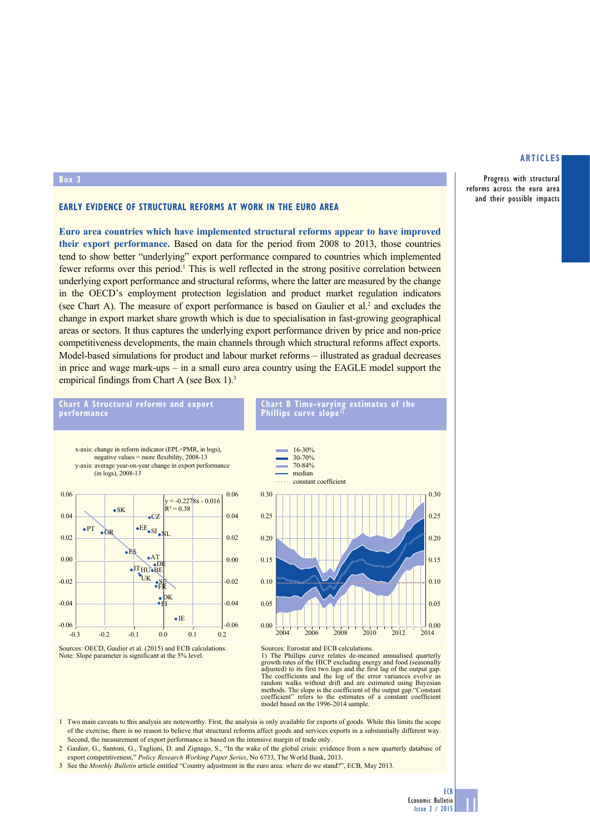Progress with structural reforms across the euro area and their possible impacts

### **Early evidence of structural reforms at work in the euro area**

**Euro area countries which have implemented structural reforms appear to have improved their export performance.** Based on data for the period from 2008 to 2013, those countries tend to show better "underlying" export performance compared to countries which implemented fewer reforms over this period.<sup>1</sup> This is well reflected in the strong positive correlation between underlying export performance and structural reforms, where the latter are measured by the change in the OECD's employment protection legislation and product market regulation indicators (see Chart A). The measure of export performance is based on Gaulier et al.<sup>2</sup> and excludes the change in export market share growth which is due to specialisation in fast-growing geographical areas or sectors. It thus captures the underlying export performance driven by price and non-price competitiveness developments, the main channels through which structural reforms affect exports. Model-based simulations for product and labour market reforms – illustrated as gradual decreases in price and wage mark-ups – in a small euro area country using the EAGLE model support the empirical findings from Chart A (see Box 1).<sup>3</sup>



**Box 3**









Sources: Eurostat and ECB calculations.

1) The Phillips curve relates de-meaned annualised quarterly growth rates of the HICP excluding energy and food (seasonally adjusted) to its first two lags and the first lag of the output gap. The coefficients and the log of the error variances evolve as random walks without drift and are estimated using Bayesian methods. The slope is the coefficient of the output gap."Constant coefficient" refers to the estimates of a constant coefficient model based on the 1996-2014 sample.

- 1 Two main caveats to this analysis are noteworthy. First, the analysis is only available for exports of goods. While this limits the scope of the exercise, there is no reason to believe that structural reforms affect goods and services exports in a substantially different way. Second, the measurement of export performance is based on the intensive margin of trade only.
- 2 Gaulier, G., Santoni, G., Taglioni, D. and Zignago, S., "In the wake of the global crisis: evidence from a new quarterly database of export competitiveness," *Policy Research Working Paper Series*, No 6733, The World Bank, 2013.
- 3 See the *Monthly Bulletin* article entitled "Country adjustment in the euro area: where do we stand?", ECB, May 2013.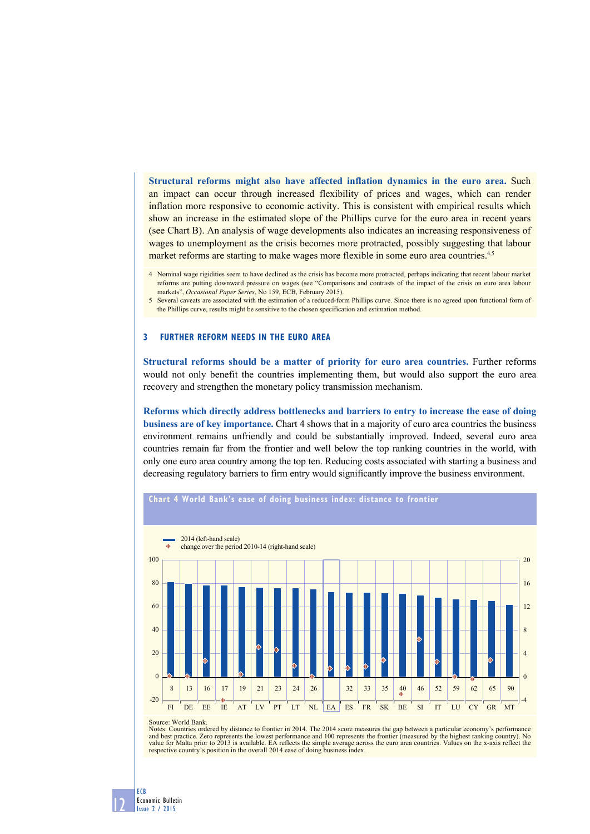**Structural reforms might also have affected inflation dynamics in the euro area.** Such an impact can occur through increased flexibility of prices and wages, which can render inflation more responsive to economic activity. This is consistent with empirical results which show an increase in the estimated slope of the Phillips curve for the euro area in recent years (see Chart B). An analysis of wage developments also indicates an increasing responsiveness of wages to unemployment as the crisis becomes more protracted, possibly suggesting that labour market reforms are starting to make wages more flexible in some euro area countries.<sup>4,5</sup>

# **3 further reform needs in the euro area**

**Structural reforms should be a matter of priority for euro area countries.** Further reforms would not only benefit the countries implementing them, but would also support the euro area recovery and strengthen the monetary policy transmission mechanism.

**Reforms which directly address bottlenecks and barriers to entry to increase the ease of doing business are of key importance.** Chart 4 shows that in a majority of euro area countries the business environment remains unfriendly and could be substantially improved. Indeed, several euro area countries remain far from the frontier and well below the top ranking countries in the world, with only one euro area country among the top ten. Reducing costs associated with starting a business and decreasing regulatory barriers to firm entry would significantly improve the business environment.



Source: World Bank.

Notes: Countries ordered by distance to frontier in 2014. The 2014 score measures the gap between a particular economy's performance and best practice. Zero represents the lowest performance and 100 represents the frontier (measured by the highest ranking country). No<br>value for Malta prior to 2013 is available. EA reflects the simple average across the respective country's position in the overall 2014 ease of doing business index.

12 Economic Bulletin Issue 2 / 2015

ECB

<sup>4</sup> Nominal wage rigidities seem to have declined as the crisis has become more protracted, perhaps indicating that recent labour market reforms are putting downward pressure on wages (see "Comparisons and contrasts of the impact of the crisis on euro area labour markets", *Occasional Paper Series*, No 159, ECB, February 2015).

<sup>5</sup> Several caveats are associated with the estimation of a reduced-form Phillips curve. Since there is no agreed upon functional form of the Phillips curve, results might be sensitive to the chosen specification and estimation method.